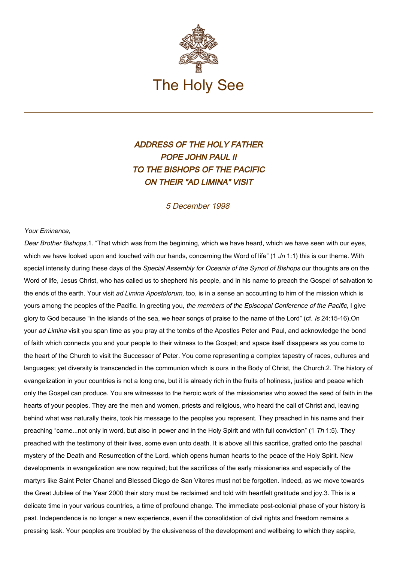

## ADDRESS OF THE HOLY FATHER POPE JOHN PAUL II TO THE BISHOPS OF THE PACIFIC ON THEIR "AD LIMINA" VISIT

## 5 December 1998

## Your Eminence,

Dear Brother Bishops, 1. "That which was from the beginning, which we have heard, which we have seen with our eyes, which we have looked upon and touched with our hands, concerning the Word of life" (1 Jn 1:1) this is our theme. With special intensity during these days of the Special Assembly for Oceania of the Synod of Bishops our thoughts are on the Word of life, Jesus Christ, who has called us to shepherd his people, and in his name to preach the Gospel of salvation to the ends of the earth. Your visit ad Limina Apostolorum, too, is in a sense an accounting to him of the mission which is yours among the peoples of the Pacific. In greeting you, the members of the Episcopal Conference of the Pacific, I give glory to God because "in the islands of the sea, we hear songs of praise to the name of the Lord" (cf. Is 24:15-16).On your ad Limina visit you span time as you pray at the tombs of the Apostles Peter and Paul, and acknowledge the bond of faith which connects you and your people to their witness to the Gospel; and space itself disappears as you come to the heart of the Church to visit the Successor of Peter. You come representing a complex tapestry of races, cultures and languages; yet diversity is transcended in the communion which is ours in the Body of Christ, the Church.2. The history of evangelization in your countries is not a long one, but it is already rich in the fruits of holiness, justice and peace which only the Gospel can produce. You are witnesses to the heroic work of the missionaries who sowed the seed of faith in the hearts of your peoples. They are the men and women, priests and religious, who heard the call of Christ and, leaving behind what was naturally theirs, took his message to the peoples you represent. They preached in his name and their preaching "came...not only in word, but also in power and in the Holy Spirit and with full conviction" (1 Th 1:5). They preached with the testimony of their lives, some even unto death. It is above all this sacrifice, grafted onto the paschal mystery of the Death and Resurrection of the Lord, which opens human hearts to the peace of the Holy Spirit. New developments in evangelization are now required; but the sacrifices of the early missionaries and especially of the martyrs like Saint Peter Chanel and Blessed Diego de San Vitores must not be forgotten. Indeed, as we move towards the Great Jubilee of the Year 2000 their story must be reclaimed and told with heartfelt gratitude and joy.3. This is a delicate time in your various countries, a time of profound change. The immediate post-colonial phase of your history is past. Independence is no longer a new experience, even if the consolidation of civil rights and freedom remains a pressing task. Your peoples are troubled by the elusiveness of the development and wellbeing to which they aspire,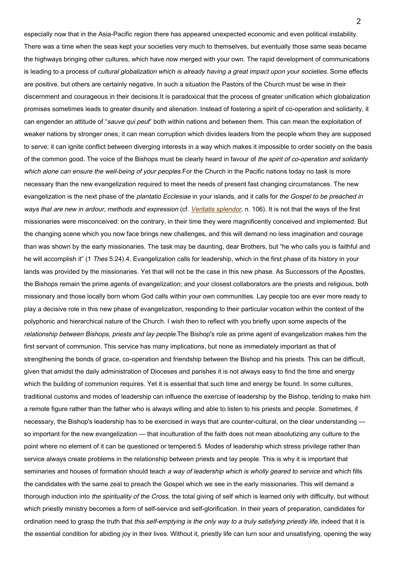especially now that in the Asia-Pacific region there has appeared unexpected economic and even political instability. There was a time when the seas kept your societies very much to themselves, but eventually those same seas became the highways bringing other cultures, which have now merged with your own. The rapid development of communications is leading to a process of cultural globalization which is already having a great impact upon your societies. Some effects are positive, but others are certainly negative. In such a situation the Pastors of the Church must be wise in their discernment and courageous in their decisions.It is paradoxical that the process of greater unification which globalization promises sometimes leads to greater disunity and alienation. Instead of fostering a spirit of co-operation and solidarity, it can engender an attitude of "sauve qui peut" both within nations and between them. This can mean the exploitation of weaker nations by stronger ones; it can mean corruption which divides leaders from the people whom they are supposed to serve; it can ignite conflict between diverging interests in a way which makes it impossible to order society on the basis of the common good. The voice of the Bishops must be clearly heard in favour of the spirit of co-operation and solidarity which alone can ensure the well-being of your peoples. For the Church in the Pacific nations today no task is more necessary than the new evangelization required to meet the needs of present fast changing circumstances. The new evangelization is the next phase of the *plantatio Ecclesiae* in your islands, and it calls for the Gospel to be preached in ways that are new in ardour, methods and expression (cf. [Veritatis splendor](http://www.vatican.va/edocs/ENG0222/_INDEX.HTM), n. 106). It is not that the ways of the first missionaries were misconceived: on the contrary, in their time they were magnificently conceived and implemented. But the changing scene which you now face brings new challenges, and this will demand no less imagination and courage than was shown by the early missionaries. The task may be daunting, dear Brothers, but "he who calls you is faithful and he will accomplish it" (1 Thes 5:24).4. Evangelization calls for leadership, which in the first phase of its history in your lands was provided by the missionaries. Yet that will not be the case in this new phase. As Successors of the Apostles, the Bishops remain the prime agents of evangelization; and your closest collaborators are the priests and religious, both missionary and those locally born whom God calls within your own communities. Lay people too are ever more ready to play a decisive role in this new phase of evangelization, responding to their particular vocation within the context of the polyphonic and hierarchical nature of the Church. I wish then to reflect with you briefly upon some aspects of the relationship between Bishops, priests and lay people. The Bishop's role as prime agent of evangelization makes him the first servant of communion. This service has many implications, but none as immediately important as that of strengthening the bonds of grace, co-operation and friendship between the Bishop and his priests. This can be difficult, given that amidst the daily administration of Dioceses and parishes it is not always easy to find the time and energy which the building of communion requires. Yet it is essential that such time and energy be found. In some cultures, traditional customs and modes of leadership can influence the exercise of leadership by the Bishop, tending to make him a remote figure rather than the father who is always willing and able to listen to his priests and people. Sometimes, if necessary, the Bishop's leadership has to be exercised in ways that are counter-cultural, on the clear understanding so important for the new evangelization — that inculturation of the faith does not mean absolutizing any culture to the point where no element of it can be questioned or tempered.5. Modes of leadership which stress privilege rather than service always create problems in the relationship between priests and lay people. This is why it is important that seminaries and houses of formation should teach a way of leadership which is wholly geared to service and which fills the candidates with the same zeal to preach the Gospel which we see in the early missionaries. This will demand a thorough induction into the spirituality of the Cross, the total giving of self which is learned only with difficulty, but without which priestly ministry becomes a form of self-service and self-glorification. In their years of preparation, candidates for ordination need to grasp the truth that this self-emptying is the only way to a truly satisfying priestly life, indeed that it is the essential condition for abiding joy in their lives. Without it, priestly life can turn sour and unsatisfying, opening the way

 $\mathfrak{p}$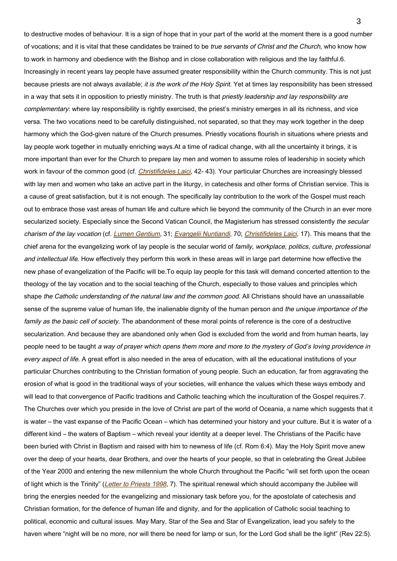to destructive modes of behaviour. It is a sign of hope that in your part of the world at the moment there is a good number of vocations; and it is vital that these candidates be trained to be true servants of Christ and the Church, who know how to work in harmony and obedience with the Bishop and in close collaboration with religious and the lay faithful.6. Increasingly in recent years lay people have assumed greater responsibility within the Church community. This is not just because priests are not always available; it is the work of the Holy Spirit. Yet at times lay responsibility has been stressed in a way that sets it in opposition to priestly ministry. The truth is that priestly leadership and lay responsibility are complementary: where lay responsibility is rightly exercised, the priest's ministry emerges in all its richness, and vice versa. The two vocations need to be carefully distinguished, not separated, so that they may work together in the deep harmony which the God-given nature of the Church presumes. Priestly vocations flourish in situations where priests and lay people work together in mutually enriching ways.At a time of radical change, with all the uncertainty it brings, it is more important than ever for the Church to prepare lay men and women to assume roles of leadership in society which work in favour of the common good (cf. [Christifideles Laici](https://www.vatican.va/content/john-paul-ii/en/apost_exhortations/documents/hf_jp-ii_exh_30121988_christifideles-laici.html), 42-43). Your particular Churches are increasingly blessed with lay men and women who take an active part in the liturgy, in catechesis and other forms of Christian service. This is a cause of great satisfaction, but it is not enough. The specifically lay contribution to the work of the Gospel must reach out to embrace those vast areas of human life and culture which lie beyond the community of the Church in an ever more secularized society. Especially since the Second Vatican Council, the Magisterium has stressed consistently the secular charism of the lay vocation (cf. [Lumen Gentium](http://localhost/archive/hist_councils/ii_vatican_council/documents/vat-ii_const_19641121_lumen-gentium_en.html), 31; [Evangelii Nuntiandi](https://www.vatican.va/content/paul-vi/en/apost_exhortations/documents/hf_p-vi_exh_19751208_evangelii-nuntiandi.html), 70; [Christifideles Laici](https://www.vatican.va/content/john-paul-ii/en/apost_exhortations/documents/hf_jp-ii_exh_30121988_christifideles-laici.html), 17). This means that the chief arena for the evangelizing work of lay people is the secular world of family, workplace, politics, culture, professional and intellectual life. How effectively they perform this work in these areas will in large part determine how effective the new phase of evangelization of the Pacific will be.To equip lay people for this task will demand concerted attention to the theology of the lay vocation and to the social teaching of the Church, especially to those values and principles which shape the Catholic understanding of the natural law and the common good. All Christians should have an unassailable sense of the supreme value of human life, the inalienable dignity of the human person and the unique importance of the family as the basic cell of society. The abandonment of these moral points of reference is the core of a destructive secularization. And because they are abandoned only when God is excluded from the world and from human hearts, lay people need to be taught a way of prayer which opens them more and more to the mystery of God's loving providence in every aspect of life. A great effort is also needed in the area of education, with all the educational institutions of your particular Churches contributing to the Christian formation of young people. Such an education, far from aggravating the erosion of what is good in the traditional ways of your societies, will enhance the values which these ways embody and will lead to that convergence of Pacific traditions and Catholic teaching which the inculturation of the Gospel requires.7. The Churches over which you preside in the love of Christ are part of the world of Oceania, a name which suggests that it is water – the vast expanse of the Pacific Ocean – which has determined your history and your culture. But it is water of a different kind – the waters of Baptism – which reveal your identity at a deeper level. The Christians of the Pacific have been buried with Christ in Baptism and raised with him to newness of life (cf. Rom 6:4). May the Holy Spirit move anew over the deep of your hearts, dear Brothers, and over the hearts of your people, so that in celebrating the Great Jubilee of the Year 2000 and entering the new millennium the whole Church throughout the Pacific "will set forth upon the ocean of light which is the Trinity" ([Letter to Priests 1998](https://www.vatican.va/content/john-paul-ii/en/letters/documents/hf_jp-ii_let_31031998_priests.html), 7). The spiritual renewal which should accompany the Jubilee will bring the energies needed for the evangelizing and missionary task before you, for the apostolate of catechesis and Christian formation, for the defence of human life and dignity, and for the application of Catholic social teaching to political, economic and cultural issues. May Mary, Star of the Sea and Star of Evangelization, lead you safely to the haven where "night will be no more, nor will there be need for lamp or sun, for the Lord God shall be the light" (Rev 22:5).

3